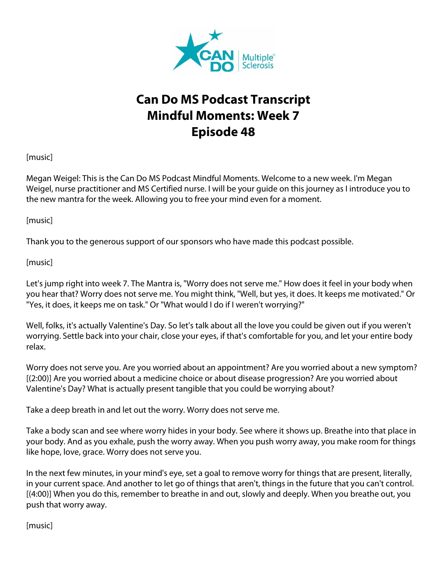

## **Can Do MS Podcast Transcript Mindful Moments: Week 7 Episode 48**

[music]

Megan Weigel: This is the Can Do MS Podcast Mindful Moments. Welcome to a new week. I'm Megan Weigel, nurse practitioner and MS Certified nurse. I will be your guide on this journey as I introduce you to the new mantra for the week. Allowing you to free your mind even for a moment.

[music]

Thank you to the generous support of our sponsors who have made this podcast possible.

[music]

Let's jump right into week 7. The Mantra is, "Worry does not serve me." How does it feel in your body when you hear that? Worry does not serve me. You might think, "Well, but yes, it does. It keeps me motivated." Or "Yes, it does, it keeps me on task." Or "What would I do if I weren't worrying?"

Well, folks, it's actually Valentine's Day. So let's talk about all the love you could be given out if you weren't worrying. Settle back into your chair, close your eyes, if that's comfortable for you, and let your entire body relax.

Worry does not serve you. Are you worried about an appointment? Are you worried about a new symptom? [(2:00)] Are you worried about a medicine choice or about disease progression? Are you worried about Valentine's Day? What is actually present tangible that you could be worrying about?

Take a deep breath in and let out the worry. Worry does not serve me.

Take a body scan and see where worry hides in your body. See where it shows up. Breathe into that place in your body. And as you exhale, push the worry away. When you push worry away, you make room for things like hope, love, grace. Worry does not serve you.

In the next few minutes, in your mind's eye, set a goal to remove worry for things that are present, literally, in your current space. And another to let go of things that aren't, things in the future that you can't control. [(4:00)] When you do this, remember to breathe in and out, slowly and deeply. When you breathe out, you push that worry away.

[music]